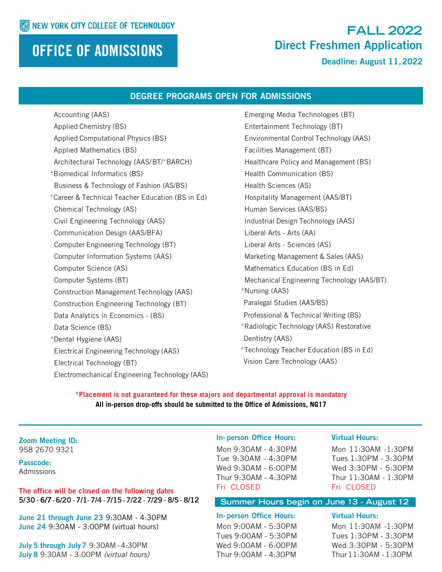## OFFICE OF ADMISSIONS

## **FALL 2022** Direct Freshmen Application

Deadline: August 11,2022

#### DEGREE PROGRAMS OPEN FOR ADMISSIONS

Accounting (AAS) Applied Chemistry (BS) Applied Computational Physics (BS) Applied Mathematics (BS) Architectural Technology (AAS/BT/\*BARCH) \*Biomedical Informatics (BS) Business & Technology of Fashion (AS/BS) \*Career & Technical Teacher Education (BS in Ed) Chemical Technology (AS) Civil Engineering Technology (AAS) Communication Design (AAS/BFA) Computer Engineering Technology (BT) Computer Information Systems (AAS) Computer Science (AS) Computer Systems (BT) Construction Management Technology (AAS) Construction Engineering Technology (BT) Data Analytics in Economics - (BS) Data Science (BS) \*Dental Hygiene (AAS) Electrical Engineering Technology (AAS) Electrical Technology (BT) Electromechanical Engineering Technology (AAS)

Emerging Media Technologies (BT) Entertainment Technology (BT) Environmental Control Technology (AAS) Facilities Management (BT) Healthcare Policy and Management (BS) Health Communication (BS) Health Sciences (AS) Hospitality Management (AAS/BT) Human Services (AAS/BS) Industrial Design Technology (AAS) Liberal Arts - Arts (AA) Liberal Arts - Sciences (AS) Marketing Management & Sales (AAS) Mathematics Education (BS in Ed) Mechanical Engineering Technology (AAS/BT) \*Nursing (AAS) Paralegal Studies (AAS/BS) Professional & Technical Writing (BS) \*Radiologic Technology (AAS) Restorative Dentistry (AAS) \*Technology Teacher Education (BS in Ed) Vision Care Technology (AAS)

**\*Placement is not guaranteed for these majors and departmental approval is mandatory All in-person drop-offs should be submitted to the Office of Admissions, NG17** 

Zoom Meeting ID: 958 2670 9321

Passcode: Admissions

The office will be closed on the following dates 5/30- 6/7 -6/20 - 7/1- 7/4 - 7/15- 7/22- 7/29- 8/5- 8/12

June 21 through June 23 9:30AM - 4:30PM June 24 9:30AM - 3:00PM (virtual hours)

July 5 through July 7 9:30AM - 4:30PM July 8 9:30AM - 3:00PM *(virtual hours)* In- person Office Hours: Virtual Hours: Mon 9:30AM - 4:30PM

Tue 9:30AM - 4:30PM Wed 9:30AM - 6:00PM Thur 9:30AM - 4:30PM Fri CLOSED

Mon 11:30AM -1:30PM Tues 1:30PM - 3:30PM Wed 3:30PM - 5:30PM Thur 11:30AM - 1:30PM Fri CLOSED

#### **Summer Hours begin on June 13 - August 12**

#### In- person Office Hours: Virtual Hours:

Mon 9:00AM - 5:30PM Tues 9:00AM - 5:30PM Wed 9:00AM - 6:00PM Thur 9:00AM - 4:30PM

Mon 11:30AM -1:30PM Tues 1:30PM - 3:30PM Wed 3:30PM - 5:30PM Thur 11:30AM - 1:30PM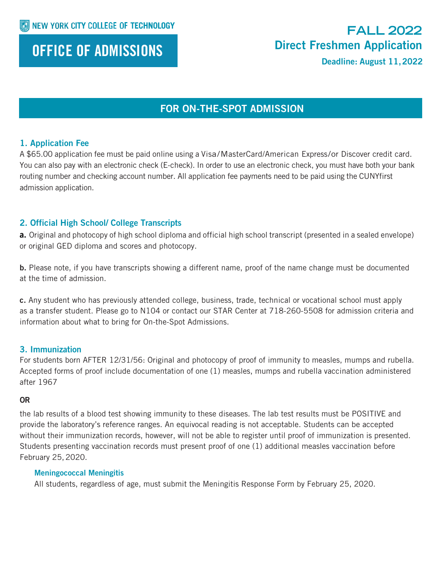## OFFICE OF ADMISSIONS

## **FALL 2022** Direct Freshmen Application

Deadline: August 11,2022

### FOR ON-THE-SPOT ADMISSION

### 1. Application Fee

A \$65.00 application fee must be paid online using a Visa/MasterCard/American Express/or Discover credit card. You can also pay with an electronic check (E-check). In order to use an electronic check, you must have both your bank routing number and checking account number. All application fee payments need to be paid using the CUNYfirst admission application.

### 2. Official High School/ College Transcripts

a. Original and photocopy of high school diploma and official high school transcript (presented in a sealed envelope) or original GED diploma and scores and photocopy.

b. Please note, if you have transcripts showing a different name, proof of the name change must be documented at the time of admission.

c. Any student who has previously attended college, business, trade, technical or vocational school must apply as a transfer student. Please go to N104 or contact our STAR Center at 718-260-5508 for admission criteria and information about what to bring for On-the-Spot Admissions.

### 3. Immunization

For students born AFTER 12/31/56: Original and photocopy of proof of immunity to measles, mumps and rubella. Accepted forms of proof include documentation of one (1) measles, mumps and rubella vaccination administered after 1967

### OR

the lab results of a blood test showing immunity to these diseases. The lab test results must be POSITIVE and provide the laboratory's reference ranges. An equivocal reading is not acceptable. Students can be accepted without their immunization records, however, will not be able to register until proof of immunization is presented. Students presenting vaccination records must present proof of one (1) additional measles vaccination before February 25,2020.

### Meningococcal Meningitis

All students, regardless of age, must submit the Meningitis Response Form by February 25, 2020.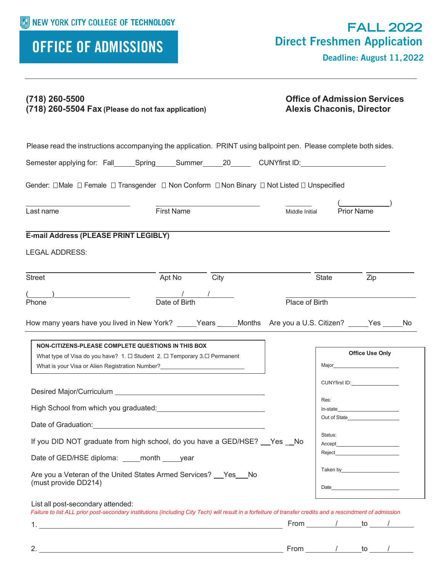# OFFICE OF ADMISSIONS

Deadline: August 11,2022

| $(718)$ 260-5500<br>(718) 260-5504 Fax (Please do not fax application)                                                          |                                                                                                                                                            | <b>Office of Admission Services</b><br><b>Alexis Chaconis, Director</b> |                  |                                                                                                                                                                                                                                        |
|---------------------------------------------------------------------------------------------------------------------------------|------------------------------------------------------------------------------------------------------------------------------------------------------------|-------------------------------------------------------------------------|------------------|----------------------------------------------------------------------------------------------------------------------------------------------------------------------------------------------------------------------------------------|
|                                                                                                                                 | Please read the instructions accompanying the application. PRINT using ballpoint pen. Please complete both sides.                                          |                                                                         |                  |                                                                                                                                                                                                                                        |
|                                                                                                                                 | Semester applying for: Fall______Spring______Summer______20_________CUNYfirst ID:___________________                                                       |                                                                         |                  |                                                                                                                                                                                                                                        |
|                                                                                                                                 | Gender: □Male □ Female □ Transgender □ Non Conform □ Non Binary □ Not Listed □ Unspecified                                                                 |                                                                         |                  |                                                                                                                                                                                                                                        |
| Last name                                                                                                                       | <b>First Name</b>                                                                                                                                          | Middle Initial                                                          | Prior Name       |                                                                                                                                                                                                                                        |
| E-mail Address (PLEASE PRINT LEGIBLY)<br><b>LEGAL ADDRESS:</b>                                                                  |                                                                                                                                                            |                                                                         |                  |                                                                                                                                                                                                                                        |
| Street                                                                                                                          | Apt No<br>City                                                                                                                                             |                                                                         | <b>State</b>     | Zip                                                                                                                                                                                                                                    |
| Phone                                                                                                                           | Date of Birth                                                                                                                                              | Place of Birth                                                          |                  |                                                                                                                                                                                                                                        |
|                                                                                                                                 | How many years have you lived in New York? _____Years _____Months Are you a U.S. Citizen? _____Yes _____No                                                 |                                                                         |                  |                                                                                                                                                                                                                                        |
| NON-CITIZENS-PLEASE COMPLETE QUESTIONS IN THIS BOX<br>What type of Visa do you have? 1. □ Student 2. □ Temporary 3. □ Permanent | What is your Visa or Alien Registration Number?<br><u> </u>                                                                                                |                                                                         |                  | <b>Office Use Only</b>                                                                                                                                                                                                                 |
| High School from which you graduated:                                                                                           |                                                                                                                                                            |                                                                         | Res:<br>In-state | CUNYfirst ID:________________                                                                                                                                                                                                          |
|                                                                                                                                 | Date of Graduation: Notified that the state of Graduation:                                                                                                 |                                                                         |                  | Out of State <b>Example 20</b>                                                                                                                                                                                                         |
|                                                                                                                                 | If you DID NOT graduate from high school, do you have a GED/HSE? Yes No                                                                                    |                                                                         | Status:          | Reject <b>Exercise Services</b>                                                                                                                                                                                                        |
| Date of GED/HSE diploma: _____month _____ year<br>(must provide DD214)                                                          | Are you a Veteran of the United States Armed Services? __ Yes __ No                                                                                        |                                                                         |                  | Taken by the control of the control of the control of the control of the control of the control of the control of the control of the control of the control of the control of the control of the control of the control of the<br>Date |
| List all post-secondary attended:                                                                                               | Failure to list ALL prior post-secondary institutions (including City Tech) will result in a forfeiture of transfer credits and a rescindment of admission |                                                                         |                  |                                                                                                                                                                                                                                        |
|                                                                                                                                 |                                                                                                                                                            |                                                                         |                  | From $\sqrt{ }$ to $\sqrt{ }$                                                                                                                                                                                                          |
|                                                                                                                                 |                                                                                                                                                            |                                                                         |                  | From $1$ to $1$                                                                                                                                                                                                                        |